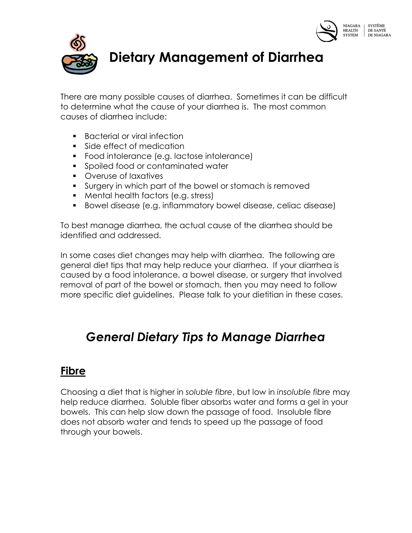



# Dietary Management of Diarrhea

There are many possible causes of diarrhea. Sometimes it can be difficult to determine what the cause of your diarrhea is. The most common causes of diarrhea include:

- **Bacterial or viral infection**
- **Side effect of medication**
- Food intolerance (e.g. lactose intolerance)
- **Spoiled food or contaminated water**
- Overuse of laxatives
- Surgery in which part of the bowel or stomach is removed
- **Mental health factors (e.g. stress)**
- Bowel disease (e.g. inflammatory bowel disease, celiac disease)

To best manage diarrhea, the actual cause of the diarrhea should be identified and addressed.

In some cases diet changes may help with diarrhea. The following are general diet tips that may help reduce your diarrhea. If your diarrhea is caused by a food intolerance, a bowel disease, or surgery that involved removal of part of the bowel or stomach, then you may need to follow more specific diet guidelines. Please talk to your dietitian in these cases.

## General Dietary Tips to Manage Diarrhea

### Fibre

Choosing a diet that is higher in soluble fibre, but low in insoluble fibre may help reduce diarrhea. Soluble fiber absorbs water and forms a gel in your bowels. This can help slow down the passage of food. Insoluble fibre does not absorb water and tends to speed up the passage of food through your bowels.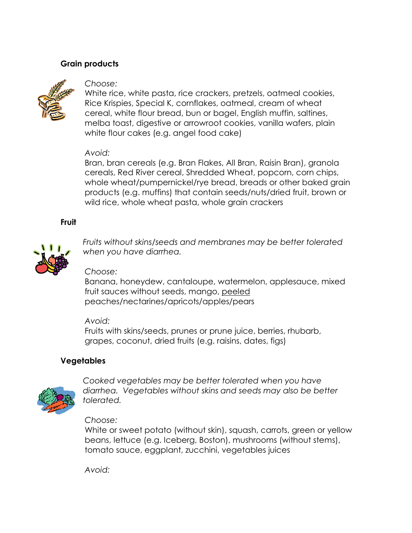#### Grain products



#### Choose:

White rice, white pasta, rice crackers, pretzels, oatmeal cookies, Rice Krispies, Special K, cornflakes, oatmeal, cream of wheat cereal, white flour bread, bun or bagel, English muffin, saltines, melba toast, digestive or arrowroot cookies, vanilla wafers, plain white flour cakes (e.g. angel food cake)

#### Avoid:

Bran, bran cereals (e.g. Bran Flakes, All Bran, Raisin Bran), granola cereals, Red River cereal, Shredded Wheat, popcorn, corn chips, whole wheat/pumpernickel/rye bread, breads or other baked grain products (e.g. muffins) that contain seeds/nuts/dried fruit, brown or wild rice, whole wheat pasta, whole grain crackers

#### Fruit



 Fruits without skins/seeds and membranes may be better tolerated when you have diarrhea.

#### Choose:

Banana, honeydew, cantaloupe, watermelon, applesauce, mixed fruit sauces without seeds, mango, peeled peaches/nectarines/apricots/apples/pears

#### Avoid:

Fruits with skins/seeds, prunes or prune juice, berries, rhubarb, grapes, coconut, dried fruits (e.g. raisins, dates, figs)

#### Vegetables



 Cooked vegetables may be better tolerated when you have diarrhea. Vegetables without skins and seeds may also be better tolerated.

#### Choose:

White or sweet potato (without skin), squash, carrots, green or yellow beans, lettuce (e.g. Iceberg, Boston), mushrooms (without stems), tomato sauce, eggplant, zucchini, vegetables juices

Avoid: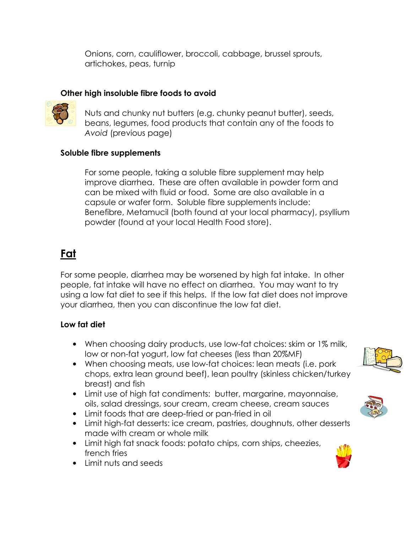Onions, corn, cauliflower, broccoli, cabbage, brussel sprouts, artichokes, peas, turnip

#### Other high insoluble fibre foods to avoid



Nuts and chunky nut butters (e.g. chunky peanut butter), seeds, beans, legumes, food products that contain any of the foods to Avoid (previous page)

#### Soluble fibre supplements

For some people, taking a soluble fibre supplement may help improve diarrhea. These are often available in powder form and can be mixed with fluid or food. Some are also available in a capsule or wafer form. Soluble fibre supplements include: Benefibre, Metamucil (both found at your local pharmacy), psyllium powder (found at your local Health Food store).

### Fat

For some people, diarrhea may be worsened by high fat intake. In other people, fat intake will have no effect on diarrhea. You may want to try using a low fat diet to see if this helps. If the low fat diet does not improve your diarrhea, then you can discontinue the low fat diet.

#### Low fat diet

- When choosing dairy products, use low-fat choices: skim or 1% milk, low or non-fat yogurt, low fat cheeses (less than 20%MF)
- When choosing meats, use low-fat choices: lean meats (i.e. pork chops, extra lean ground beef), lean poultry (skinless chicken/turkey breast) and fish
- Limit use of high fat condiments: butter, margarine, mayonnaise, oils, salad dressings, sour cream, cream cheese, cream sauces
- Limit foods that are deep-fried or pan-fried in oil
- Limit high-fat desserts: ice cream, pastries, doughnuts, other desserts made with cream or whole milk
- Limit high fat snack foods: potato chips, corn ships, cheezies, french fries
- Limit nuts and seeds





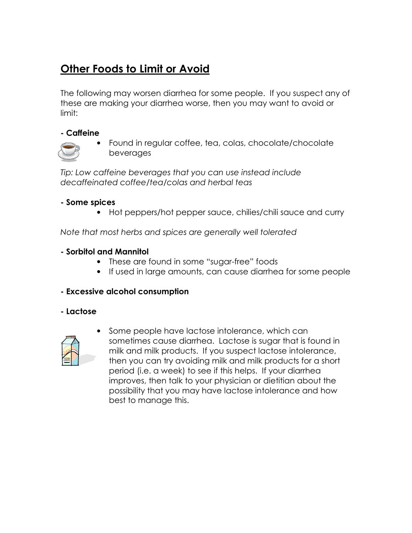### Other Foods to Limit or Avoid

The following may worsen diarrhea for some people. If you suspect any of these are making your diarrhea worse, then you may want to avoid or limit:

#### - Caffeine



• Found in regular coffee, tea, colas, chocolate/chocolate beverages

Tip: Low caffeine beverages that you can use instead include decaffeinated coffee/tea/colas and herbal teas

#### - Some spices

• Hot peppers/hot pepper sauce, chilies/chili sauce and curry

Note that most herbs and spices are generally well tolerated

#### - Sorbitol and Mannitol

- These are found in some "sugar-free" foods
- If used in large amounts, can cause diarrhea for some people

#### - Excessive alcohol consumption

- Lactose



Some people have lactose intolerance, which can sometimes cause diarrhea. Lactose is sugar that is found in milk and milk products. If you suspect lactose intolerance, then you can try avoiding milk and milk products for a short period (i.e. a week) to see if this helps. If your diarrhea improves, then talk to your physician or dietitian about the possibility that you may have lactose intolerance and how best to manage this.